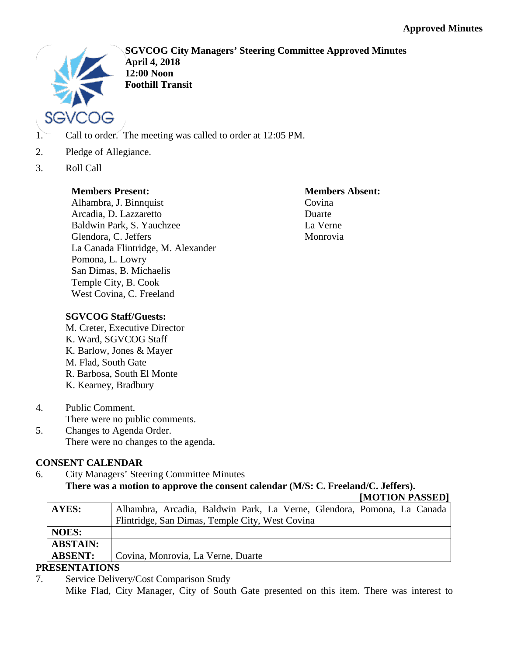

**SGVCOG City Managers' Steering Committee Approved Minutes April 4, 2018 12:00 Noon Foothill Transit**

- 1. Call to order. The meeting was called to order at 12:05 PM.
- 2. Pledge of Allegiance.
- 3. Roll Call

# **Members Present:**

Alhambra, J. Binnquist Arcadia, D. Lazzaretto Baldwin Park, S. Yauchzee Glendora, C. Jeffers La Canada Flintridge, M. Alexander Pomona, L. Lowry San Dimas, B. Michaelis Temple City, B. Cook West Covina, C. Freeland

**Members Absent:** Covina Duarte La Verne Monrovia

# **SGVCOG Staff/Guests:**

M. Creter, Executive Director K. Ward, SGVCOG Staff K. Barlow, Jones & Mayer M. Flad, South Gate R. Barbosa, South El Monte K. Kearney, Bradbury

- 4. Public Comment. There were no public comments.
- 5. Changes to Agenda Order. There were no changes to the agenda.

# **CONSENT CALENDAR**

6. City Managers' Steering Committee Minutes **There was a motion to approve the consent calendar (M/S: C. Freeland/C. Jeffers).**

**[MOTION PASSED]**

| AYES:           | Alhambra, Arcadia, Baldwin Park, La Verne, Glendora, Pomona, La Canada |  |
|-----------------|------------------------------------------------------------------------|--|
|                 | Flintridge, San Dimas, Temple City, West Covina                        |  |
| <b>NOES:</b>    |                                                                        |  |
| <b>ABSTAIN:</b> |                                                                        |  |
| <b>ABSENT:</b>  | Covina, Monrovia, La Verne, Duarte                                     |  |
|                 |                                                                        |  |

# **PRESENTATIONS**

7. Service Delivery/Cost Comparison Study Mike Flad, City Manager, City of South Gate presented on this item. There was interest to